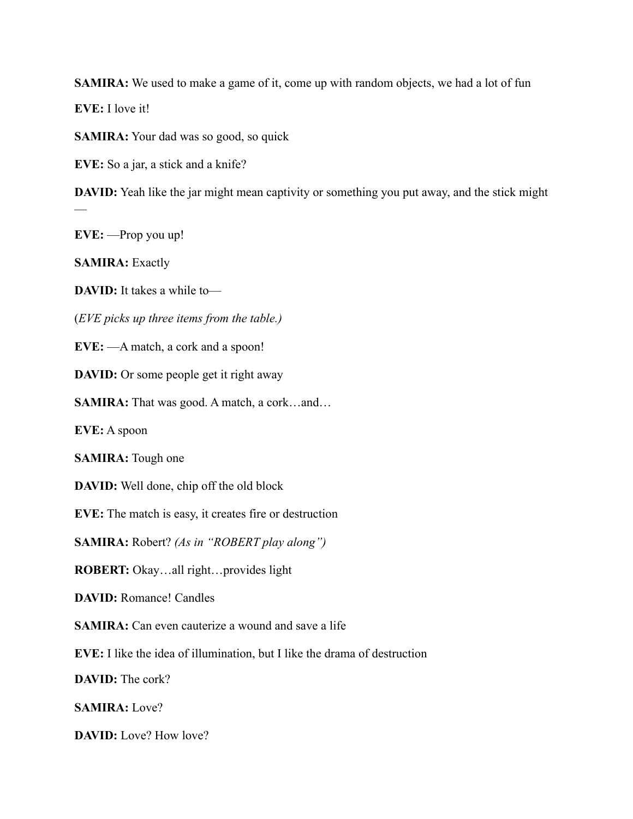**SAMIRA:** We used to make a game of it, come up with random objects, we had a lot of fun

**EVE:** I love it!

**SAMIRA:** Your dad was so good, so quick

**EVE:** So a jar, a stick and a knife?

**DAVID:** Yeah like the jar might mean captivity or something you put away, and the stick might —

**EVE:** —Prop you up!

**SAMIRA:** Exactly

**DAVID:** It takes a while to—

(*EVE picks up three items from the table.)* 

**EVE:** —A match, a cork and a spoon!

**DAVID:** Or some people get it right away

**SAMIRA:** That was good. A match, a cork…and…

**EVE:** A spoon

**SAMIRA:** Tough one

**DAVID:** Well done, chip off the old block

**EVE:** The match is easy, it creates fire or destruction

**SAMIRA:** Robert? *(As in "ROBERT play along")*

**ROBERT:** Okay…all right…provides light

**DAVID:** Romance! Candles

**SAMIRA:** Can even cauterize a wound and save a life

**EVE:** I like the idea of illumination, but I like the drama of destruction

**DAVID:** The cork?

**SAMIRA:** Love?

**DAVID:** Love? How love?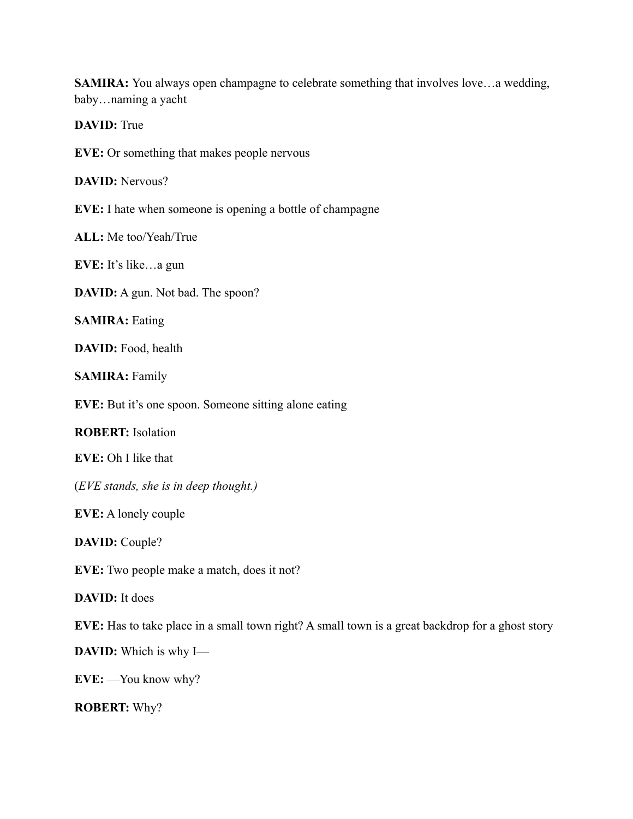**SAMIRA:** You always open champagne to celebrate something that involves love...a wedding, baby…naming a yacht

**DAVID:** True

**EVE:** Or something that makes people nervous

**DAVID:** Nervous?

**EVE:** I hate when someone is opening a bottle of champagne

**ALL:** Me too/Yeah/True

**EVE:** It's like…a gun

**DAVID:** A gun. Not bad. The spoon?

**SAMIRA:** Eating

DAVID: Food, health

**SAMIRA:** Family

**EVE:** But it's one spoon. Someone sitting alone eating

**ROBERT:** Isolation

**EVE:** Oh I like that

(*EVE stands, she is in deep thought.)* 

**EVE:** A lonely couple

**DAVID:** Couple?

**EVE:** Two people make a match, does it not?

**DAVID:** It does

**EVE:** Has to take place in a small town right? A small town is a great backdrop for a ghost story

**DAVID:** Which is why I—

**EVE:** —You know why?

**ROBERT:** Why?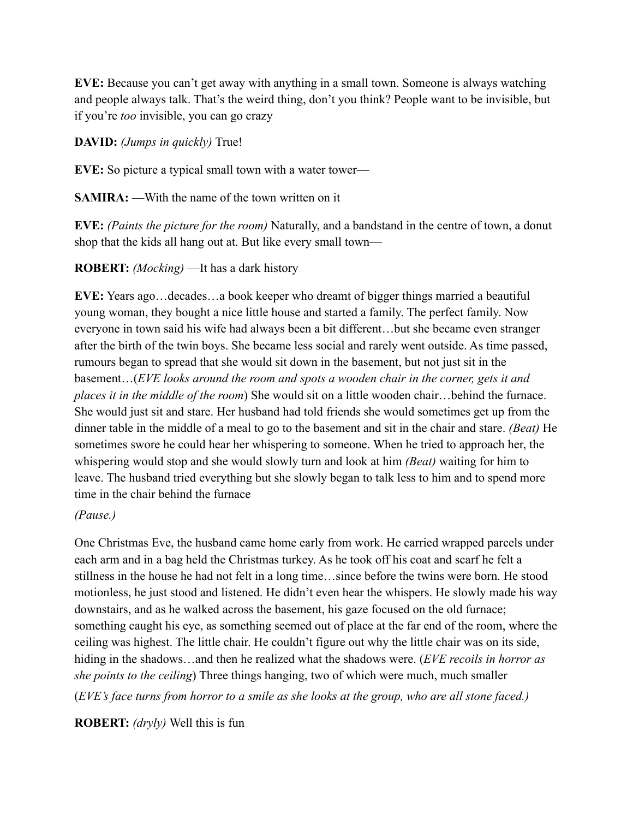**EVE:** Because you can't get away with anything in a small town. Someone is always watching and people always talk. That's the weird thing, don't you think? People want to be invisible, but if you're *too* invisible, you can go crazy

**DAVID:** *(Jumps in quickly)* True!

**EVE:** So picture a typical small town with a water tower—

**SAMIRA:** —With the name of the town written on it

**EVE:** *(Paints the picture for the room)* Naturally, and a bandstand in the centre of town, a donut shop that the kids all hang out at. But like every small town—

**ROBERT:** *(Mocking)* —It has a dark history

**EVE:** Years ago…decades…a book keeper who dreamt of bigger things married a beautiful young woman, they bought a nice little house and started a family. The perfect family. Now everyone in town said his wife had always been a bit different…but she became even stranger after the birth of the twin boys. She became less social and rarely went outside. As time passed, rumours began to spread that she would sit down in the basement, but not just sit in the basement…(*EVE looks around the room and spots a wooden chair in the corner, gets it and places it in the middle of the room*) She would sit on a little wooden chair…behind the furnace. She would just sit and stare. Her husband had told friends she would sometimes get up from the dinner table in the middle of a meal to go to the basement and sit in the chair and stare. *(Beat)* He sometimes swore he could hear her whispering to someone. When he tried to approach her, the whispering would stop and she would slowly turn and look at him *(Beat)* waiting for him to leave. The husband tried everything but she slowly began to talk less to him and to spend more time in the chair behind the furnace

*(Pause.)* 

One Christmas Eve, the husband came home early from work. He carried wrapped parcels under each arm and in a bag held the Christmas turkey. As he took off his coat and scarf he felt a stillness in the house he had not felt in a long time…since before the twins were born. He stood motionless, he just stood and listened. He didn't even hear the whispers. He slowly made his way downstairs, and as he walked across the basement, his gaze focused on the old furnace; something caught his eye, as something seemed out of place at the far end of the room, where the ceiling was highest. The little chair. He couldn't figure out why the little chair was on its side, hiding in the shadows…and then he realized what the shadows were. (*EVE recoils in horror as she points to the ceiling*) Three things hanging, two of which were much, much smaller (*EVE's face turns from horror to a smile as she looks at the group, who are all stone faced.)* 

**ROBERT:** *(dryly)* Well this is fun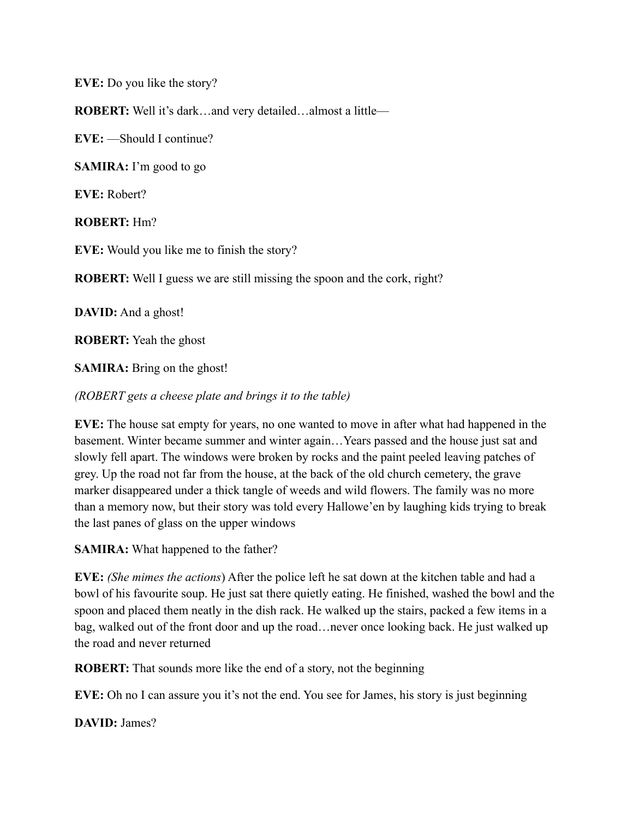**EVE:** Do you like the story?

**ROBERT:** Well it's dark…and very detailed…almost a little—

**EVE:** —Should I continue?

**SAMIRA:** I'm good to go

**EVE:** Robert?

**ROBERT:** Hm?

**EVE:** Would you like me to finish the story?

**ROBERT:** Well I guess we are still missing the spoon and the cork, right?

**DAVID:** And a ghost!

**ROBERT:** Yeah the ghost

**SAMIRA:** Bring on the ghost!

*(ROBERT gets a cheese plate and brings it to the table)* 

**EVE:** The house sat empty for years, no one wanted to move in after what had happened in the basement. Winter became summer and winter again…Years passed and the house just sat and slowly fell apart. The windows were broken by rocks and the paint peeled leaving patches of grey. Up the road not far from the house, at the back of the old church cemetery, the grave marker disappeared under a thick tangle of weeds and wild flowers. The family was no more than a memory now, but their story was told every Hallowe'en by laughing kids trying to break the last panes of glass on the upper windows

**SAMIRA:** What happened to the father?

**EVE:** *(She mimes the actions*) After the police left he sat down at the kitchen table and had a bowl of his favourite soup. He just sat there quietly eating. He finished, washed the bowl and the spoon and placed them neatly in the dish rack. He walked up the stairs, packed a few items in a bag, walked out of the front door and up the road…never once looking back. He just walked up the road and never returned

**ROBERT:** That sounds more like the end of a story, not the beginning

**EVE:** Oh no I can assure you it's not the end. You see for James, his story is just beginning

**DAVID:** James?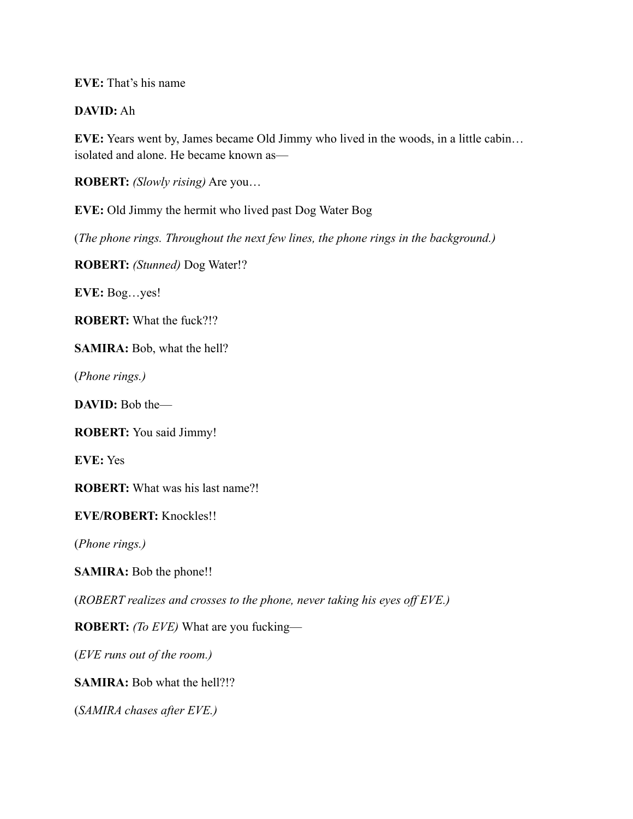**EVE:** That's his name

## **DAVID:** Ah

**EVE:** Years went by, James became Old Jimmy who lived in the woods, in a little cabin… isolated and alone. He became known as—

**ROBERT:** *(Slowly rising)* Are you…

**EVE:** Old Jimmy the hermit who lived past Dog Water Bog

(*The phone rings. Throughout the next few lines, the phone rings in the background.)* 

**ROBERT:** *(Stunned)* Dog Water!?

**EVE:** Bog…yes!

**ROBERT:** What the fuck?!?

**SAMIRA:** Bob, what the hell?

(*Phone rings.)* 

DAVID: Bob the-

**ROBERT:** You said Jimmy!

**EVE:** Yes

**ROBERT:** What was his last name?!

**EVE/ROBERT:** Knockles!!

(*Phone rings.)* 

**SAMIRA:** Bob the phone!!

(*ROBERT realizes and crosses to the phone, never taking his eyes off EVE.)* 

**ROBERT:** *(To EVE)* What are you fucking—

(*EVE runs out of the room.)* 

**SAMIRA:** Bob what the hell?!?

(*SAMIRA chases after EVE.)*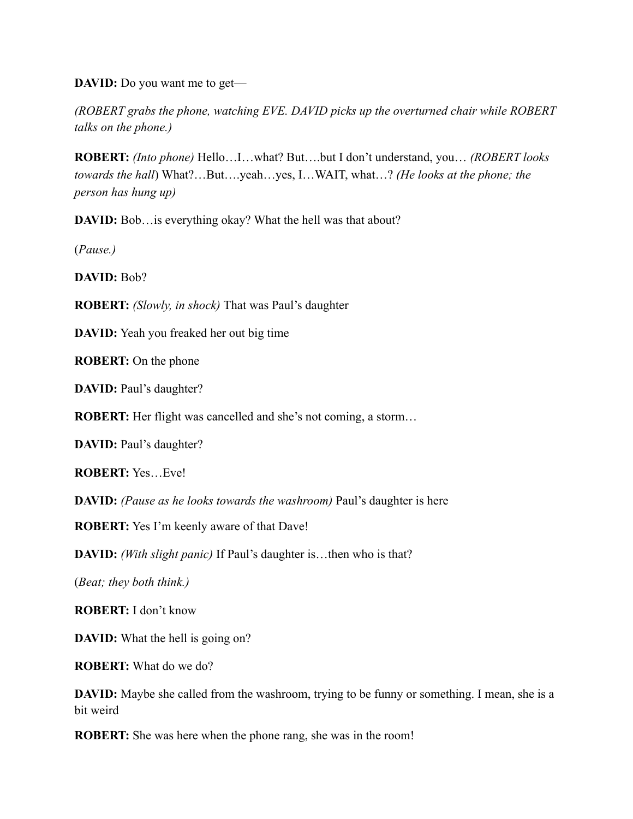**DAVID:** Do you want me to get—

*(ROBERT grabs the phone, watching EVE. DAVID picks up the overturned chair while ROBERT talks on the phone.)* 

**ROBERT:** *(Into phone)* Hello…I…what? But….but I don't understand, you… *(ROBERT looks towards the hall*) What?…But….yeah…yes, I…WAIT, what…? *(He looks at the phone; the person has hung up)* 

**DAVID:** Bob…is everything okay? What the hell was that about?

(*Pause.)* 

**DAVID:** Bob?

**ROBERT:** *(Slowly, in shock)* That was Paul's daughter

**DAVID:** Yeah you freaked her out big time

**ROBERT:** On the phone

**DAVID:** Paul's daughter?

**ROBERT:** Her flight was cancelled and she's not coming, a storm...

**DAVID:** Paul's daughter?

**ROBERT:** Yes…Eve!

**DAVID:** *(Pause as he looks towards the washroom)* Paul's daughter is here

**ROBERT:** Yes I'm keenly aware of that Dave!

**DAVID:** *(With slight panic)* If Paul's daughter is…then who is that?

(*Beat; they both think.)* 

**ROBERT:** I don't know

**DAVID:** What the hell is going on?

**ROBERT:** What do we do?

**DAVID:** Maybe she called from the washroom, trying to be funny or something. I mean, she is a bit weird

**ROBERT:** She was here when the phone rang, she was in the room!